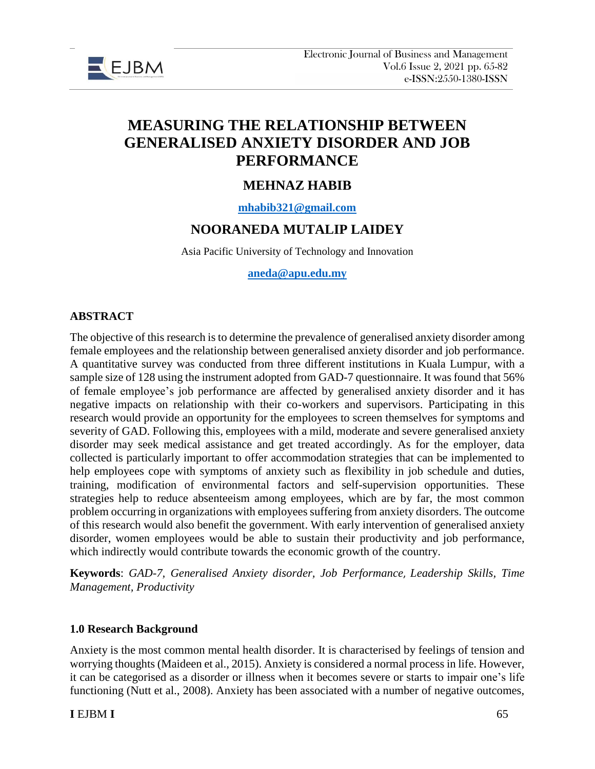

# **MEASURING THE RELATIONSHIP BETWEEN GENERALISED ANXIETY DISORDER AND JOB PERFORMANCE**

# **MEHNAZ HABIB**

**[mhabib321@gmail.com](mailto:mhabib321@gmail.com)**

# **NOORANEDA MUTALIP LAIDEY**

Asia Pacific University of Technology and Innovation

#### **[aneda@apu.edu.my](mailto:aneda@apu.edu.my)**

#### **ABSTRACT**

The objective of this research is to determine the prevalence of generalised anxiety disorder among female employees and the relationship between generalised anxiety disorder and job performance. A quantitative survey was conducted from three different institutions in Kuala Lumpur, with a sample size of 128 using the instrument adopted from GAD-7 questionnaire. It was found that 56% of female employee's job performance are affected by generalised anxiety disorder and it has negative impacts on relationship with their co-workers and supervisors. Participating in this research would provide an opportunity for the employees to screen themselves for symptoms and severity of GAD. Following this, employees with a mild, moderate and severe generalised anxiety disorder may seek medical assistance and get treated accordingly. As for the employer, data collected is particularly important to offer accommodation strategies that can be implemented to help employees cope with symptoms of anxiety such as flexibility in job schedule and duties, training, modification of environmental factors and self-supervision opportunities. These strategies help to reduce absenteeism among employees, which are by far, the most common problem occurring in organizations with employees suffering from anxiety disorders. The outcome of this research would also benefit the government. With early intervention of generalised anxiety disorder, women employees would be able to sustain their productivity and job performance, which indirectly would contribute towards the economic growth of the country.

**Keywords**: *GAD-7, Generalised Anxiety disorder, Job Performance*, *Leadership Skills, Time Management, Productivity*

#### **1.0 Research Background**

Anxiety is the most common mental health disorder. It is characterised by feelings of tension and worrying thoughts (Maideen et al., 2015). Anxiety is considered a normal process in life. However, it can be categorised as a disorder or illness when it becomes severe or starts to impair one's life functioning (Nutt et al., 2008). Anxiety has been associated with a number of negative outcomes,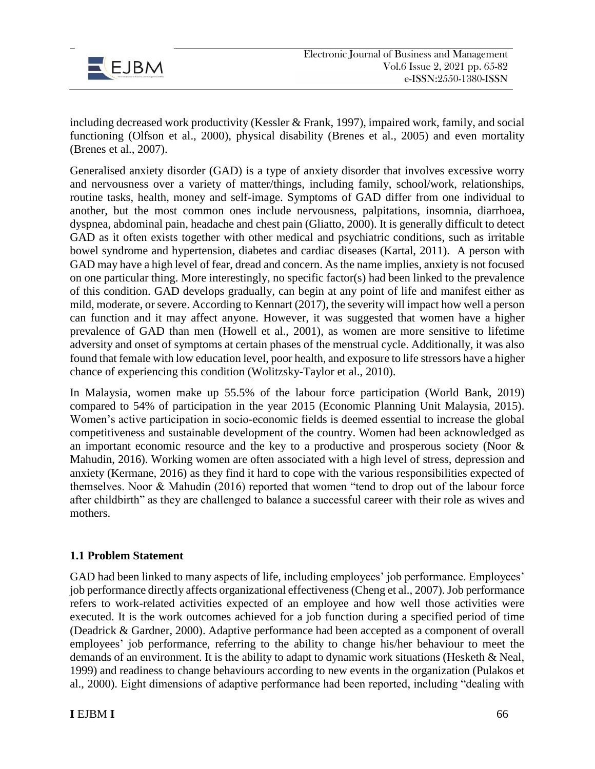

including decreased work productivity (Kessler & Frank, 1997), impaired work, family, and social functioning (Olfson et al., 2000), physical disability (Brenes et al., 2005) and even mortality (Brenes et al., 2007).

Generalised anxiety disorder (GAD) is a type of anxiety disorder that involves excessive worry and nervousness over a variety of matter/things, including family, school/work, relationships, routine tasks, health, money and self-image. Symptoms of GAD differ from one individual to another, but the most common ones include nervousness, palpitations, insomnia, diarrhoea, dyspnea, abdominal pain, headache and chest pain (Gliatto, 2000). It is generally difficult to detect GAD as it often exists together with other medical and psychiatric conditions, such as irritable bowel syndrome and hypertension, diabetes and cardiac diseases (Kartal, 2011). A person with GAD may have a high level of fear, dread and concern. As the name implies, anxiety is not focused on one particular thing. More interestingly, no specific factor(s) had been linked to the prevalence of this condition. GAD develops gradually, can begin at any point of life and manifest either as mild, moderate, or severe. According to Kennart (2017), the severity will impact how well a person can function and it may affect anyone. However, it was suggested that women have a higher prevalence of GAD than men (Howell et al., 2001), as women are more sensitive to lifetime adversity and onset of symptoms at certain phases of the menstrual cycle. Additionally, it was also found that female with low education level, poor health, and exposure to life stressors have a higher chance of experiencing this condition (Wolitzsky-Taylor et al., 2010).

In Malaysia, women make up 55.5% of the labour force participation (World Bank, 2019) compared to 54% of participation in the year 2015 (Economic Planning Unit Malaysia, 2015). Women's active participation in socio-economic fields is deemed essential to increase the global competitiveness and sustainable development of the country. Women had been acknowledged as an important economic resource and the key to a productive and prosperous society (Noor & Mahudin, 2016). Working women are often associated with a high level of stress, depression and anxiety (Kermane, 2016) as they find it hard to cope with the various responsibilities expected of themselves. Noor & Mahudin (2016) reported that women "tend to drop out of the labour force after childbirth" as they are challenged to balance a successful career with their role as wives and mothers.

#### **1.1 Problem Statement**

GAD had been linked to many aspects of life, including employees' job performance. Employees' job performance directly affects organizational effectiveness (Cheng et al., 2007). Job performance refers to work-related activities expected of an employee and how well those activities were executed. It is the work outcomes achieved for a job function during a specified period of time (Deadrick & Gardner, 2000). Adaptive performance had been accepted as a component of overall employees' job performance, referring to the ability to change his/her behaviour to meet the demands of an environment. It is the ability to adapt to dynamic work situations (Hesketh & Neal, 1999) and readiness to change behaviours according to new events in the organization (Pulakos et al., 2000). Eight dimensions of adaptive performance had been reported, including "dealing with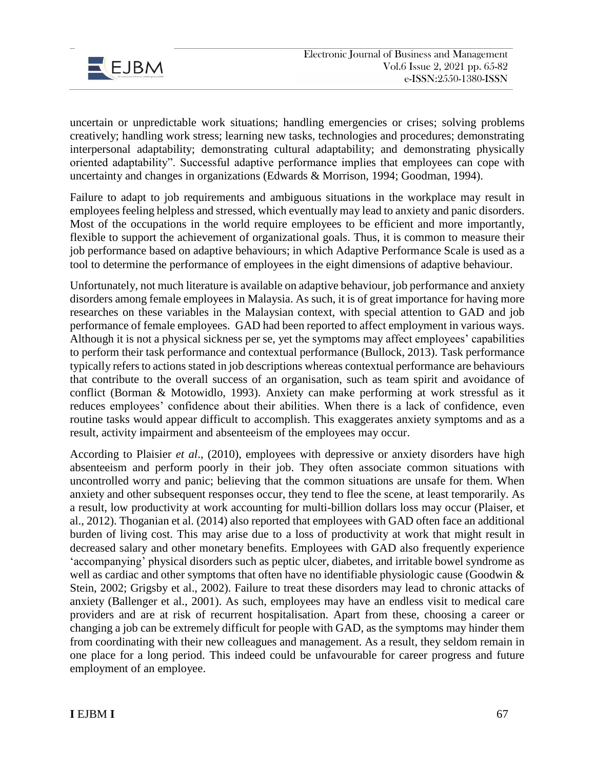

uncertain or unpredictable work situations; handling emergencies or crises; solving problems creatively; handling work stress; learning new tasks, technologies and procedures; demonstrating interpersonal adaptability; demonstrating cultural adaptability; and demonstrating physically oriented adaptability". Successful adaptive performance implies that employees can cope with uncertainty and changes in organizations (Edwards & Morrison, 1994; Goodman, 1994).

Failure to adapt to job requirements and ambiguous situations in the workplace may result in employees feeling helpless and stressed, which eventually may lead to anxiety and panic disorders. Most of the occupations in the world require employees to be efficient and more importantly, flexible to support the achievement of organizational goals. Thus, it is common to measure their job performance based on adaptive behaviours; in which Adaptive Performance Scale is used as a tool to determine the performance of employees in the eight dimensions of adaptive behaviour.

Unfortunately, not much literature is available on adaptive behaviour, job performance and anxiety disorders among female employees in Malaysia. As such, it is of great importance for having more researches on these variables in the Malaysian context, with special attention to GAD and job performance of female employees. GAD had been reported to affect employment in various ways. Although it is not a physical sickness per se, yet the symptoms may affect employees' capabilities to perform their task performance and contextual performance (Bullock, 2013). Task performance typically refers to actions stated in job descriptions whereas contextual performance are behaviours that contribute to the overall success of an organisation, such as team spirit and avoidance of conflict (Borman & Motowidlo, 1993). Anxiety can make performing at work stressful as it reduces employees' confidence about their abilities. When there is a lack of confidence, even routine tasks would appear difficult to accomplish. This exaggerates anxiety symptoms and as a result, activity impairment and absenteeism of the employees may occur.

According to Plaisier *et al*., (2010), employees with depressive or anxiety disorders have high absenteeism and perform poorly in their job. They often associate common situations with uncontrolled worry and panic; believing that the common situations are unsafe for them. When anxiety and other subsequent responses occur, they tend to flee the scene, at least temporarily. As a result, low productivity at work accounting for multi-billion dollars loss may occur (Plaiser, et al., 2012). Thoganian et al. (2014) also reported that employees with GAD often face an additional burden of living cost. This may arise due to a loss of productivity at work that might result in decreased salary and other monetary benefits. Employees with GAD also frequently experience 'accompanying' physical disorders such as peptic ulcer, diabetes, and irritable bowel syndrome as well as cardiac and other symptoms that often have no identifiable physiologic cause (Goodwin & Stein, 2002; Grigsby et al., 2002). Failure to treat these disorders may lead to chronic attacks of anxiety (Ballenger et al., 2001). As such, employees may have an endless visit to medical care providers and are at risk of recurrent hospitalisation. Apart from these, choosing a career or changing a job can be extremely difficult for people with GAD, as the symptoms may hinder them from coordinating with their new colleagues and management. As a result, they seldom remain in one place for a long period. This indeed could be unfavourable for career progress and future employment of an employee.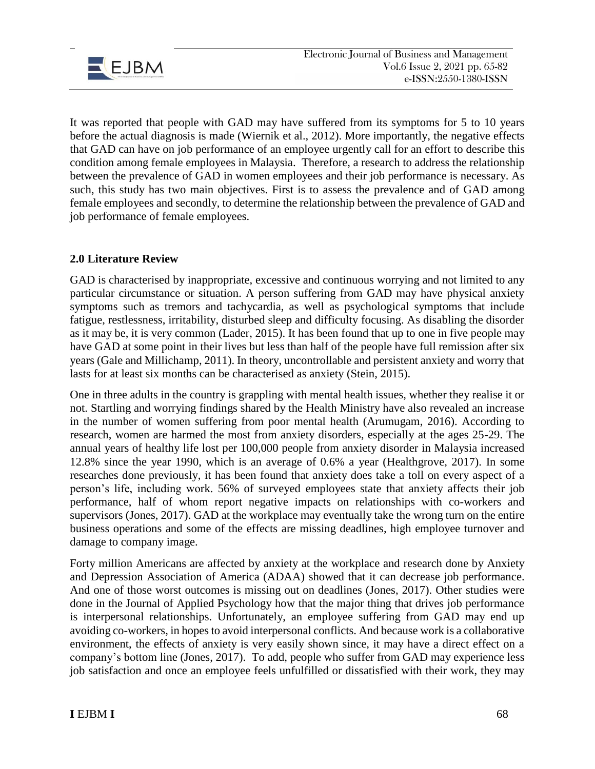

It was reported that people with GAD may have suffered from its symptoms for 5 to 10 years before the actual diagnosis is made (Wiernik et al., 2012). More importantly, the negative effects that GAD can have on job performance of an employee urgently call for an effort to describe this condition among female employees in Malaysia. Therefore, a research to address the relationship between the prevalence of GAD in women employees and their job performance is necessary. As such, this study has two main objectives. First is to assess the prevalence and of GAD among female employees and secondly, to determine the relationship between the prevalence of GAD and job performance of female employees.

## **2.0 Literature Review**

GAD is characterised by inappropriate, excessive and continuous worrying and not limited to any particular circumstance or situation. A person suffering from GAD may have physical anxiety symptoms such as tremors and tachycardia, as well as psychological symptoms that include fatigue, restlessness, irritability, disturbed sleep and difficulty focusing. As disabling the disorder as it may be, it is very common (Lader, 2015). It has been found that up to one in five people may have GAD at some point in their lives but less than half of the people have full remission after six years (Gale and Millichamp, 2011). In theory, uncontrollable and persistent anxiety and worry that lasts for at least six months can be characterised as anxiety (Stein, 2015).

One in three adults in the country is grappling with mental health issues, whether they realise it or not. Startling and worrying findings shared by the Health Ministry have also revealed an increase in the number of women suffering from poor mental health (Arumugam, 2016). According to research, women are harmed the most from anxiety disorders, especially at the ages 25-29. The annual years of healthy life lost per 100,000 people from anxiety disorder in Malaysia increased 12.8% since the year 1990, which is an average of 0.6% a year (Healthgrove, 2017). In some researches done previously, it has been found that anxiety does take a toll on every aspect of a person's life, including work. 56% of surveyed employees state that anxiety affects their job performance, half of whom report negative impacts on relationships with co-workers and supervisors (Jones, 2017). GAD at the workplace may eventually take the wrong turn on the entire business operations and some of the effects are missing deadlines, high employee turnover and damage to company image.

Forty million Americans are affected by anxiety at the workplace and research done by Anxiety and Depression Association of America (ADAA) showed that it can decrease job performance. And one of those worst outcomes is missing out on deadlines (Jones, 2017). Other studies were done in the Journal of Applied Psychology how that the major thing that drives job performance is interpersonal relationships. Unfortunately, an employee suffering from GAD may end up avoiding co-workers, in hopes to avoid interpersonal conflicts. And because work is a collaborative environment, the effects of anxiety is very easily shown since, it may have a direct effect on a company's bottom line (Jones, 2017). To add, people who suffer from GAD may experience less job satisfaction and once an employee feels unfulfilled or dissatisfied with their work, they may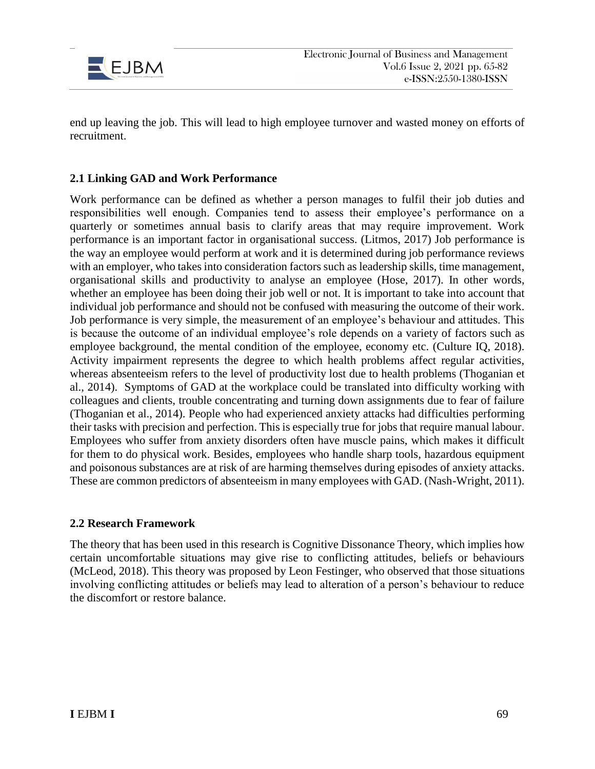

end up leaving the job. This will lead to high employee turnover and wasted money on efforts of recruitment.

### **2.1 Linking GAD and Work Performance**

Work performance can be defined as whether a person manages to fulfil their job duties and responsibilities well enough. Companies tend to assess their employee's performance on a quarterly or sometimes annual basis to clarify areas that may require improvement. Work performance is an important factor in organisational success. (Litmos, 2017) Job performance is the way an employee would perform at work and it is determined during job performance reviews with an employer, who takes into consideration factors such as leadership skills, time management, organisational skills and productivity to analyse an employee (Hose, 2017). In other words, whether an employee has been doing their job well or not. It is important to take into account that individual job performance and should not be confused with measuring the outcome of their work. Job performance is very simple, the measurement of an employee's behaviour and attitudes. This is because the outcome of an individual employee's role depends on a variety of factors such as employee background, the mental condition of the employee, economy etc. (Culture IQ, 2018). Activity impairment represents the degree to which health problems affect regular activities, whereas absenteeism refers to the level of productivity lost due to health problems (Thoganian et al., 2014). Symptoms of GAD at the workplace could be translated into difficulty working with colleagues and clients, trouble concentrating and turning down assignments due to fear of failure (Thoganian et al., 2014). People who had experienced anxiety attacks had difficulties performing their tasks with precision and perfection. This is especially true for jobs that require manual labour. Employees who suffer from anxiety disorders often have muscle pains, which makes it difficult for them to do physical work. Besides, employees who handle sharp tools, hazardous equipment and poisonous substances are at risk of are harming themselves during episodes of anxiety attacks. These are common predictors of absenteeism in many employees with GAD. (Nash-Wright, 2011).

#### **2.2 Research Framework**

The theory that has been used in this research is Cognitive Dissonance Theory, which implies how certain uncomfortable situations may give rise to conflicting attitudes, beliefs or behaviours (McLeod, 2018). This theory was proposed by Leon Festinger, who observed that those situations involving conflicting attitudes or beliefs may lead to alteration of a person's behaviour to reduce the discomfort or restore balance.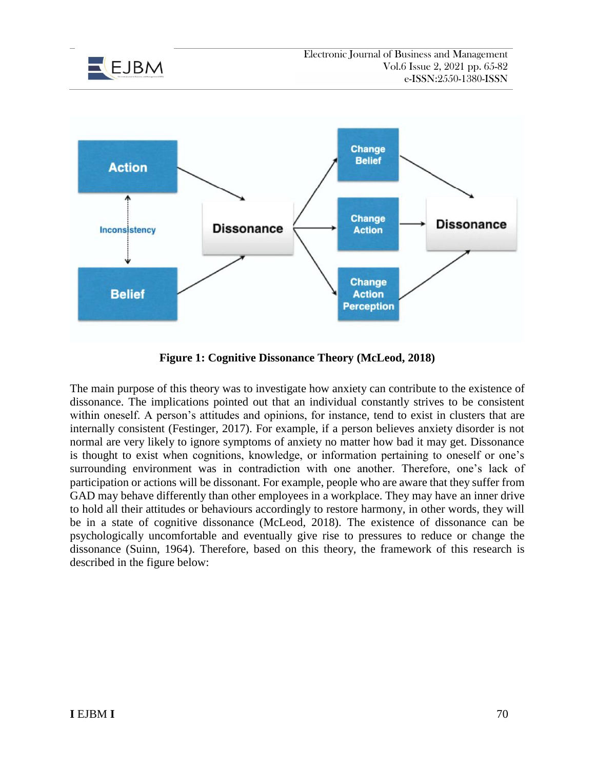



**Figure 1: Cognitive Dissonance Theory (McLeod, 2018)**

The main purpose of this theory was to investigate how anxiety can contribute to the existence of dissonance. The implications pointed out that an individual constantly strives to be consistent within oneself. A person's attitudes and opinions, for instance, tend to exist in clusters that are internally consistent (Festinger, 2017). For example, if a person believes anxiety disorder is not normal are very likely to ignore symptoms of anxiety no matter how bad it may get. Dissonance is thought to exist when cognitions, knowledge, or information pertaining to oneself or one's surrounding environment was in contradiction with one another. Therefore, one's lack of participation or actions will be dissonant. For example, people who are aware that they suffer from GAD may behave differently than other employees in a workplace. They may have an inner drive to hold all their attitudes or behaviours accordingly to restore harmony, in other words, they will be in a state of cognitive dissonance (McLeod, 2018). The existence of dissonance can be psychologically uncomfortable and eventually give rise to pressures to reduce or change the dissonance (Suinn, 1964). Therefore, based on this theory, the framework of this research is described in the figure below: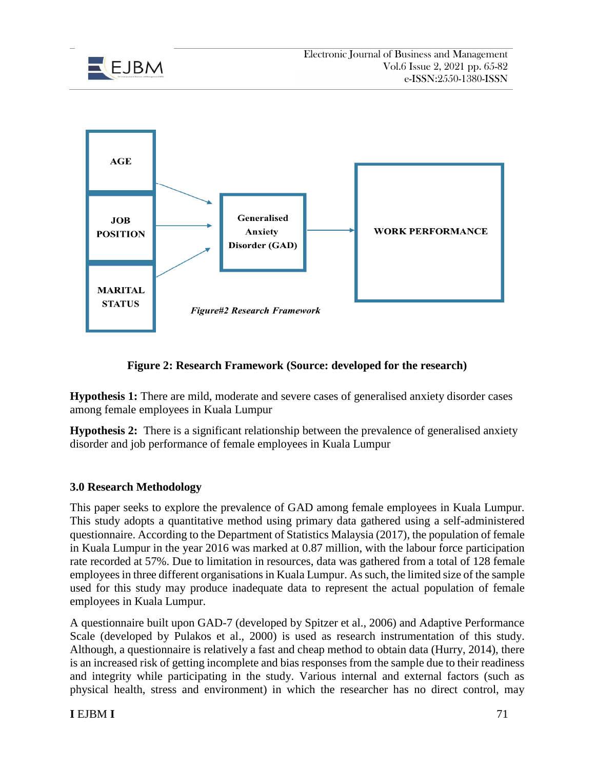



**Figure 2: Research Framework (Source: developed for the research)**

**Hypothesis 1:** There are mild, moderate and severe cases of generalised anxiety disorder cases among female employees in Kuala Lumpur

**Hypothesis 2:** There is a significant relationship between the prevalence of generalised anxiety disorder and job performance of female employees in Kuala Lumpur

# **3.0 Research Methodology**

This paper seeks to explore the prevalence of GAD among female employees in Kuala Lumpur. This study adopts a quantitative method using primary data gathered using a self-administered questionnaire. According to the Department of Statistics Malaysia (2017), the population of female in Kuala Lumpur in the year 2016 was marked at 0.87 million, with the labour force participation rate recorded at 57%. Due to limitation in resources, data was gathered from a total of 128 female employees in three different organisations in Kuala Lumpur. As such, the limited size of the sample used for this study may produce inadequate data to represent the actual population of female employees in Kuala Lumpur.

A questionnaire built upon GAD-7 (developed by Spitzer et al., 2006) and Adaptive Performance Scale (developed by Pulakos et al., 2000) is used as research instrumentation of this study. Although, a questionnaire is relatively a fast and cheap method to obtain data (Hurry, 2014), there is an increased risk of getting incomplete and bias responses from the sample due to their readiness and integrity while participating in the study. Various internal and external factors (such as physical health, stress and environment) in which the researcher has no direct control, may

## **I** EJBM **I** 71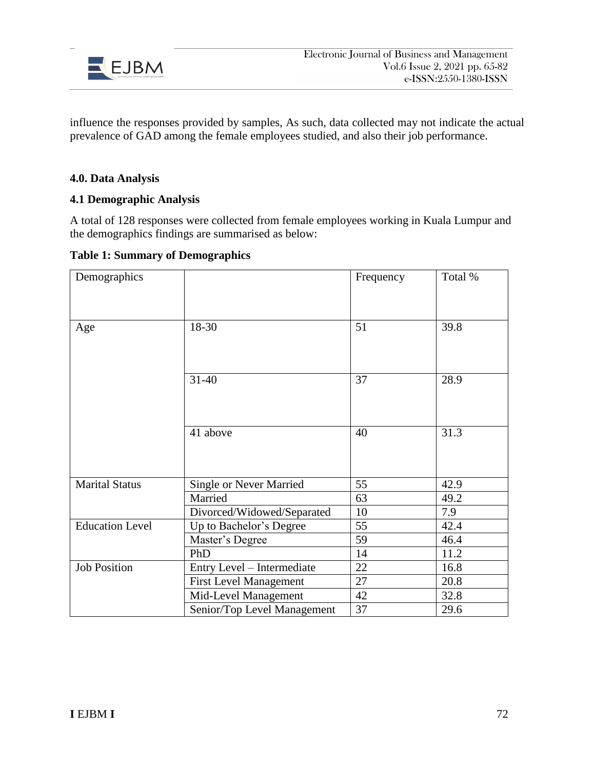

influence the responses provided by samples, As such, data collected may not indicate the actual prevalence of GAD among the female employees studied, and also their job performance.

### **4.0. Data Analysis**

#### **4.1 Demographic Analysis**

A total of 128 responses were collected from female employees working in Kuala Lumpur and the demographics findings are summarised as below:

**Table 1: Summary of Demographics**

| Demographics           |                                | Frequency | Total % |
|------------------------|--------------------------------|-----------|---------|
|                        |                                |           |         |
|                        |                                |           |         |
| Age                    | 18-30                          | 51        | 39.8    |
|                        |                                |           |         |
|                        |                                |           |         |
|                        | $31 - 40$                      | 37        | 28.9    |
|                        |                                |           |         |
|                        |                                |           |         |
|                        |                                |           |         |
|                        | 41 above                       | 40        | 31.3    |
|                        |                                |           |         |
|                        |                                |           |         |
| <b>Marital Status</b>  | <b>Single or Never Married</b> | 55        | 42.9    |
|                        | Married                        | 63        | 49.2    |
|                        | Divorced/Widowed/Separated     | 10        | 7.9     |
| <b>Education Level</b> | Up to Bachelor's Degree        | 55        | 42.4    |
|                        | Master's Degree                | 59        | 46.4    |
|                        | PhD                            | 14        | 11.2    |
| <b>Job Position</b>    | Entry Level - Intermediate     | 22        | 16.8    |
|                        | <b>First Level Management</b>  | 27        | 20.8    |
|                        | Mid-Level Management           | 42        | 32.8    |
|                        | Senior/Top Level Management    | 37        | 29.6    |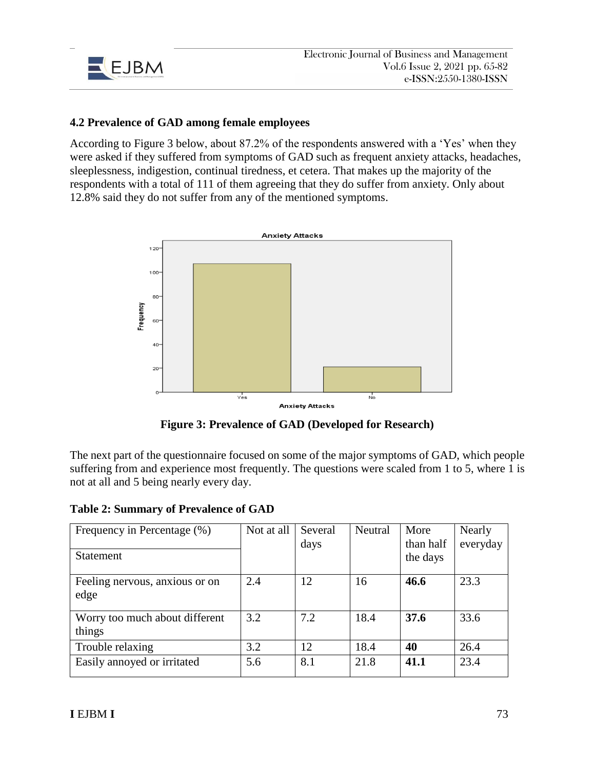

#### **4.2 Prevalence of GAD among female employees**

According to Figure 3 below, about 87.2% of the respondents answered with a 'Yes' when they were asked if they suffered from symptoms of GAD such as frequent anxiety attacks, headaches, sleeplessness, indigestion, continual tiredness, et cetera. That makes up the majority of the respondents with a total of 111 of them agreeing that they do suffer from anxiety. Only about 12.8% said they do not suffer from any of the mentioned symptoms.



**Figure 3: Prevalence of GAD (Developed for Research)**

The next part of the questionnaire focused on some of the major symptoms of GAD, which people suffering from and experience most frequently. The questions were scaled from 1 to 5, where 1 is not at all and 5 being nearly every day.

**Table 2: Summary of Prevalence of GAD**

| Frequency in Percentage (%)<br><b>Statement</b> | Not at all | Several<br>days | Neutral | More<br>than half<br>the days | Nearly<br>everyday |
|-------------------------------------------------|------------|-----------------|---------|-------------------------------|--------------------|
|                                                 |            |                 |         |                               |                    |
| Feeling nervous, anxious or on                  | 2.4        | 12              | 16      | 46.6                          | 23.3               |
| edge                                            |            |                 |         |                               |                    |
| Worry too much about different                  | 3.2        | 7.2             | 18.4    | 37.6                          | 33.6               |
| things                                          |            |                 |         |                               |                    |
| Trouble relaxing                                | 3.2        | 12              | 18.4    | 40                            | 26.4               |
| Easily annoyed or irritated                     | 5.6        | 8.1             | 21.8    | 41.1                          | 23.4               |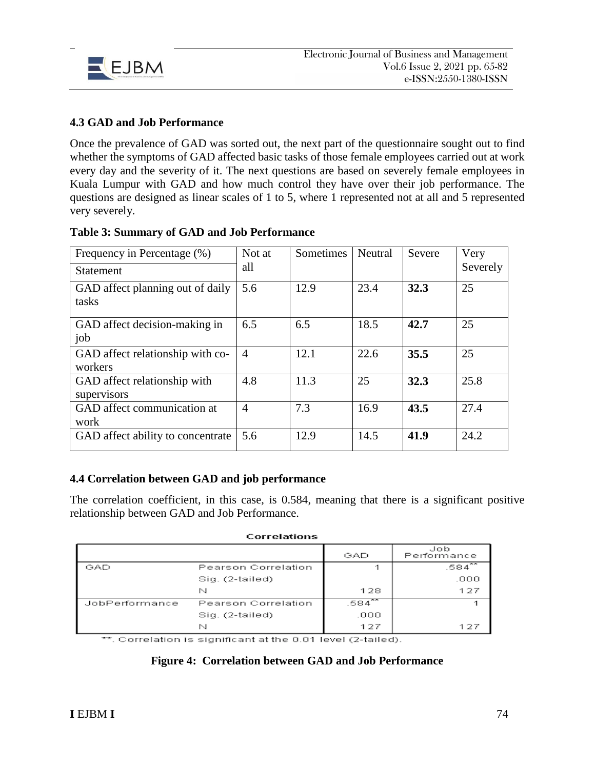

### **4.3 GAD and Job Performance**

Once the prevalence of GAD was sorted out, the next part of the questionnaire sought out to find whether the symptoms of GAD affected basic tasks of those female employees carried out at work every day and the severity of it. The next questions are based on severely female employees in Kuala Lumpur with GAD and how much control they have over their job performance. The questions are designed as linear scales of 1 to 5, where 1 represented not at all and 5 represented very severely.

| Frequency in Percentage (%)                 | Not at         | Sometimes | Neutral | Severe | Very     |
|---------------------------------------------|----------------|-----------|---------|--------|----------|
| <b>Statement</b>                            | all            |           |         |        | Severely |
| GAD affect planning out of daily<br>tasks   | 5.6            | 12.9      | 23.4    | 32.3   | 25       |
| GAD affect decision-making in<br>job        | 6.5            | 6.5       | 18.5    | 42.7   | 25       |
| GAD affect relationship with co-<br>workers | $\overline{A}$ | 12.1      | 22.6    | 35.5   | 25       |
| GAD affect relationship with<br>supervisors | 4.8            | 11.3      | 25      | 32.3   | 25.8     |
| GAD affect communication at<br>work         | $\overline{4}$ | 7.3       | 16.9    | 43.5   | 27.4     |
| GAD affect ability to concentrate           | 5.6            | 12.9      | 14.5    | 41.9   | 24.2     |

#### **Table 3: Summary of GAD and Job Performance**

#### **4.4 Correlation between GAD and job performance**

The correlation coefficient, in this case, is 0.584, meaning that there is a significant positive relationship between GAD and Job Performance.

| <b>Correlations</b> |  |
|---------------------|--|
|                     |  |

|                |                     | GAD         | Job<br>Performance |
|----------------|---------------------|-------------|--------------------|
| GAD            | Pearson Correlation |             | $.584^{**}$        |
|                | Sig. (2-tailed)     |             | .000               |
|                | N                   | 128         | 127                |
| JobPerformance | Pearson Correlation | $.584^{**}$ |                    |
|                | Sig. (2-tailed)     | .000        |                    |
|                | N                   | 127         | 127                |

\*\*. Correlation is significant at the 0.01 level (2-tailed).

#### **Figure 4: Correlation between GAD and Job Performance**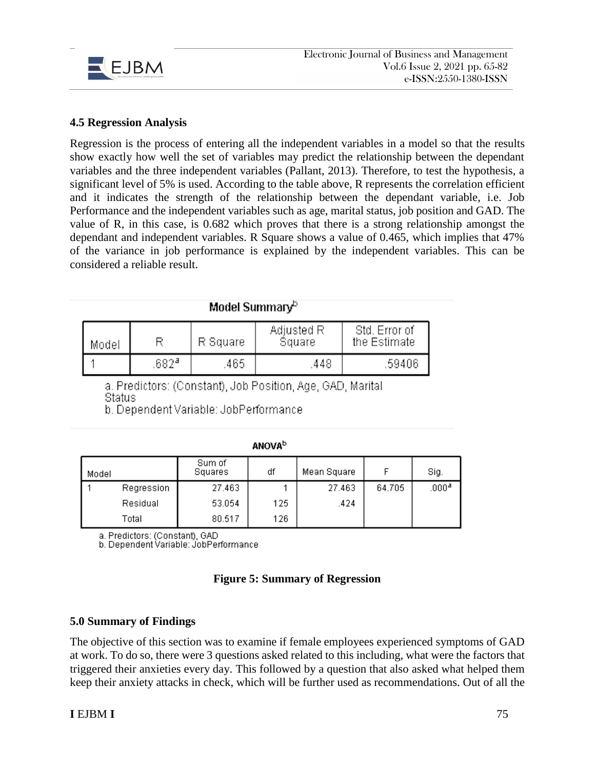

#### **4.5 Regression Analysis**

Regression is the process of entering all the independent variables in a model so that the results show exactly how well the set of variables may predict the relationship between the dependant variables and the three independent variables (Pallant, 2013). Therefore, to test the hypothesis, a significant level of 5% is used. According to the table above, R represents the correlation efficient and it indicates the strength of the relationship between the dependant variable, i.e. Job Performance and the independent variables such as age, marital status, job position and GAD. The value of R, in this case, is 0.682 which proves that there is a strong relationship amongst the dependant and independent variables. R Square shows a value of 0.465, which implies that 47% of the variance in job performance is explained by the independent variables. This can be considered a reliable result.

| Model Summary <sup>o</sup> |      |          |                      |                               |  |  |
|----------------------------|------|----------|----------------------|-------------------------------|--|--|
| Model                      |      | R Square | Adjusted R<br>Square | Std. Error of<br>the Estimate |  |  |
|                            | 682ª | .465     | .448                 | .59406                        |  |  |

a. Predictors: (Constant), Job Position, Age, GAD, Marital Status

b. Dependent Variable: JobPerformance.

|--|

| Model |            | Sum of<br>Squares | df  | Mean Square |        | Sig.              |
|-------|------------|-------------------|-----|-------------|--------|-------------------|
|       | Regression | 27.463            |     | 27.463      | 64.705 | .000 <sup>a</sup> |
|       | Residual   | 53.054            | 125 | .424        |        |                   |
|       | Total      | 80.517            | 126 |             |        |                   |

a. Predictors: (Constant), GAD

b. Dependent Variable: JobPerformance

#### **Figure 5: Summary of Regression**

#### **5.0 Summary of Findings**

The objective of this section was to examine if female employees experienced symptoms of GAD at work. To do so, there were 3 questions asked related to this including, what were the factors that triggered their anxieties every day. This followed by a question that also asked what helped them keep their anxiety attacks in check, which will be further used as recommendations. Out of all the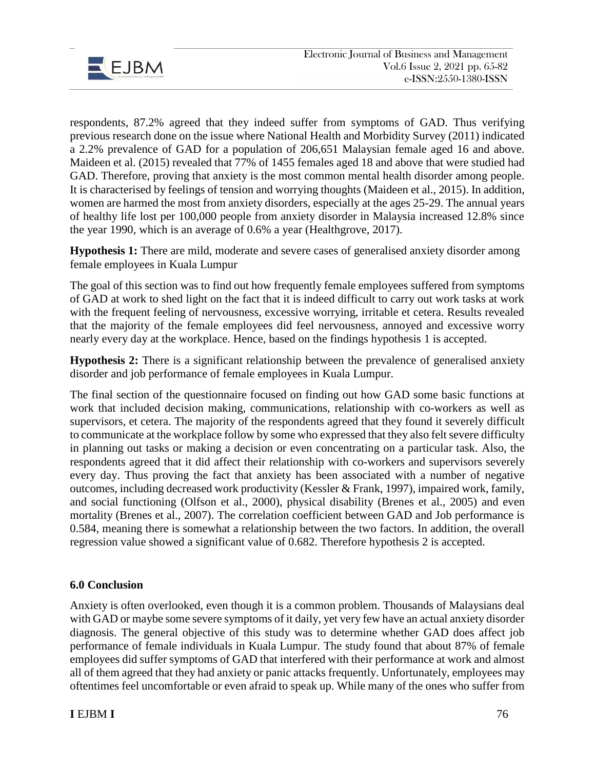

respondents, 87.2% agreed that they indeed suffer from symptoms of GAD. Thus verifying previous research done on the issue where National Health and Morbidity Survey (2011) indicated a 2.2% prevalence of GAD for a population of 206,651 Malaysian female aged 16 and above. Maideen et al. (2015) revealed that 77% of 1455 females aged 18 and above that were studied had GAD. Therefore, proving that anxiety is the most common mental health disorder among people. It is characterised by feelings of tension and worrying thoughts (Maideen et al., 2015). In addition, women are harmed the most from anxiety disorders, especially at the ages 25-29. The annual years of healthy life lost per 100,000 people from anxiety disorder in Malaysia increased 12.8% since the year 1990, which is an average of 0.6% a year (Healthgrove, 2017).

**Hypothesis 1:** There are mild, moderate and severe cases of generalised anxiety disorder among female employees in Kuala Lumpur

The goal of this section was to find out how frequently female employees suffered from symptoms of GAD at work to shed light on the fact that it is indeed difficult to carry out work tasks at work with the frequent feeling of nervousness, excessive worrying, irritable et cetera. Results revealed that the majority of the female employees did feel nervousness, annoyed and excessive worry nearly every day at the workplace. Hence, based on the findings hypothesis 1 is accepted.

**Hypothesis 2:** There is a significant relationship between the prevalence of generalised anxiety disorder and job performance of female employees in Kuala Lumpur.

The final section of the questionnaire focused on finding out how GAD some basic functions at work that included decision making, communications, relationship with co-workers as well as supervisors, et cetera. The majority of the respondents agreed that they found it severely difficult to communicate at the workplace follow by some who expressed that they also felt severe difficulty in planning out tasks or making a decision or even concentrating on a particular task. Also, the respondents agreed that it did affect their relationship with co-workers and supervisors severely every day. Thus proving the fact that anxiety has been associated with a number of negative outcomes, including decreased work productivity (Kessler & Frank, 1997), impaired work, family, and social functioning (Olfson et al., 2000), physical disability (Brenes et al., 2005) and even mortality (Brenes et al., 2007). The correlation coefficient between GAD and Job performance is 0.584, meaning there is somewhat a relationship between the two factors. In addition, the overall regression value showed a significant value of 0.682. Therefore hypothesis 2 is accepted.

#### **6.0 Conclusion**

Anxiety is often overlooked, even though it is a common problem. Thousands of Malaysians deal with GAD or maybe some severe symptoms of it daily, yet very few have an actual anxiety disorder diagnosis. The general objective of this study was to determine whether GAD does affect job performance of female individuals in Kuala Lumpur. The study found that about 87% of female employees did suffer symptoms of GAD that interfered with their performance at work and almost all of them agreed that they had anxiety or panic attacks frequently. Unfortunately, employees may oftentimes feel uncomfortable or even afraid to speak up. While many of the ones who suffer from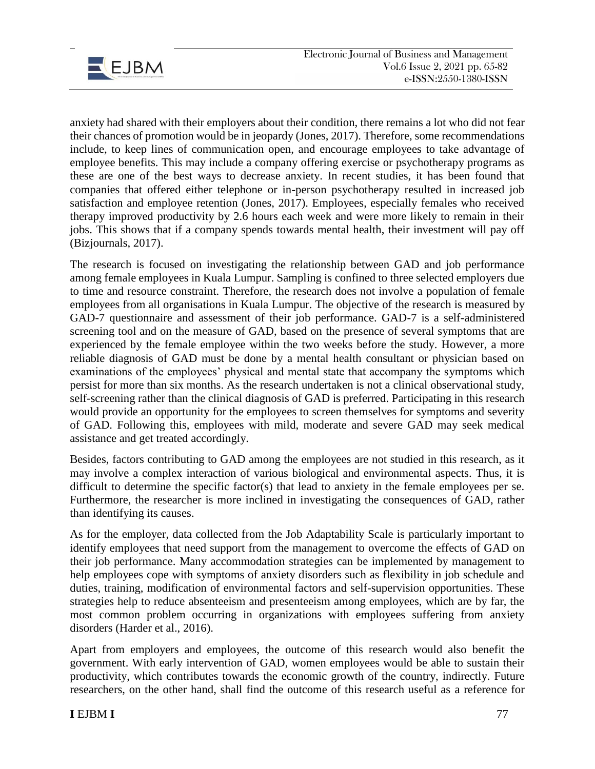

anxiety had shared with their employers about their condition, there remains a lot who did not fear their chances of promotion would be in jeopardy (Jones, 2017). Therefore, some recommendations include, to keep lines of communication open, and encourage employees to take advantage of employee benefits. This may include a company offering exercise or psychotherapy programs as these are one of the best ways to decrease anxiety. In recent studies, it has been found that companies that offered either telephone or in-person psychotherapy resulted in increased job satisfaction and employee retention (Jones, 2017). Employees, especially females who received therapy improved productivity by 2.6 hours each week and were more likely to remain in their jobs. This shows that if a company spends towards mental health, their investment will pay off (Bizjournals, 2017).

The research is focused on investigating the relationship between GAD and job performance among female employees in Kuala Lumpur. Sampling is confined to three selected employers due to time and resource constraint. Therefore, the research does not involve a population of female employees from all organisations in Kuala Lumpur. The objective of the research is measured by GAD-7 questionnaire and assessment of their job performance. GAD-7 is a self-administered screening tool and on the measure of GAD, based on the presence of several symptoms that are experienced by the female employee within the two weeks before the study. However, a more reliable diagnosis of GAD must be done by a mental health consultant or physician based on examinations of the employees' physical and mental state that accompany the symptoms which persist for more than six months. As the research undertaken is not a clinical observational study, self-screening rather than the clinical diagnosis of GAD is preferred. Participating in this research would provide an opportunity for the employees to screen themselves for symptoms and severity of GAD. Following this, employees with mild, moderate and severe GAD may seek medical assistance and get treated accordingly.

Besides, factors contributing to GAD among the employees are not studied in this research, as it may involve a complex interaction of various biological and environmental aspects. Thus, it is difficult to determine the specific factor(s) that lead to anxiety in the female employees per se. Furthermore, the researcher is more inclined in investigating the consequences of GAD, rather than identifying its causes.

As for the employer, data collected from the Job Adaptability Scale is particularly important to identify employees that need support from the management to overcome the effects of GAD on their job performance. Many accommodation strategies can be implemented by management to help employees cope with symptoms of anxiety disorders such as flexibility in job schedule and duties, training, modification of environmental factors and self-supervision opportunities. These strategies help to reduce absenteeism and presenteeism among employees, which are by far, the most common problem occurring in organizations with employees suffering from anxiety disorders (Harder et al., 2016).

Apart from employers and employees, the outcome of this research would also benefit the government. With early intervention of GAD, women employees would be able to sustain their productivity, which contributes towards the economic growth of the country, indirectly. Future researchers, on the other hand, shall find the outcome of this research useful as a reference for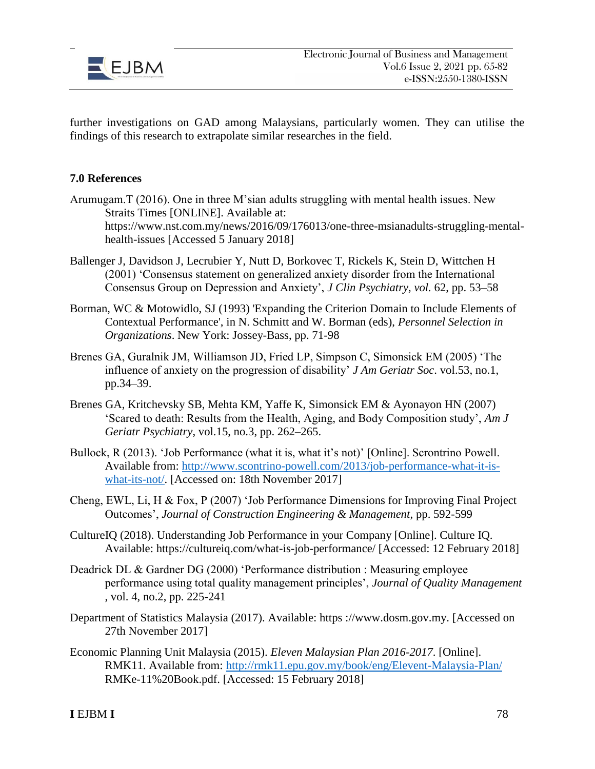

further investigations on GAD among Malaysians, particularly women. They can utilise the findings of this research to extrapolate similar researches in the field.

#### **7.0 References**

- Arumugam.T (2016). One in three M'sian adults struggling with mental health issues. New Straits Times [ONLINE]. Available at: https://www.nst.com.my/news/2016/09/176013/one-three-msianadults-struggling-mentalhealth-issues [Accessed 5 January 2018]
- Ballenger J, Davidson J, Lecrubier Y, Nutt D, Borkovec T, Rickels K, Stein D, Wittchen H (2001) 'Consensus statement on generalized anxiety disorder from the International Consensus Group on Depression and Anxiety', *J Clin Psychiatry, vol.* 62, pp. 53–58
- Borman, WC & Motowidlo, SJ (1993) 'Expanding the Criterion Domain to Include Elements of Contextual Performance', in N. Schmitt and W. Borman (eds), *Personnel Selection in Organizations*. New York: Jossey-Bass, pp. 71-98
- Brenes GA, Guralnik JM, Williamson JD, Fried LP, Simpson C, Simonsick EM (2005) 'The influence of anxiety on the progression of disability' *J Am Geriatr Soc*. vol.53, no.1, pp.34–39.
- Brenes GA, Kritchevsky SB, Mehta KM, Yaffe K, Simonsick EM & Ayonayon HN (2007) 'Scared to death: Results from the Health, Aging, and Body Composition study', *Am J Geriatr Psychiatry*, vol.15, no.3, pp. 262–265.
- Bullock, R (2013). 'Job Performance (what it is, what it's not)' [Online]. Scrontrino Powell. Available from: [http://www.scontrino-powell.com/2013/job-performance-what-it-is](http://www.scontrino-powell.com/2013/job-performance-what-it-is-what-its-not/)[what-its-not/.](http://www.scontrino-powell.com/2013/job-performance-what-it-is-what-its-not/) [Accessed on: 18th November 2017]
- Cheng, EWL, Li, H & Fox, P (2007) 'Job Performance Dimensions for Improving Final Project Outcomes', *Journal of Construction Engineering & Management*, pp. 592-599
- CultureIQ (2018). Understanding Job Performance in your Company [Online]. Culture IQ. Available: https://cultureiq.com/what-is-job-performance/ [Accessed: 12 February 2018]
- Deadrick DL & Gardner DG (2000) 'Performance distribution : Measuring employee performance using total quality management principles', *Journal of Quality Management*  , vol. 4, no.2, pp. 225-241
- Department of Statistics Malaysia (2017). Available: https ://www.dosm.gov.my. [Accessed on 27th November 2017]
- Economic Planning Unit Malaysia (2015). *Eleven Malaysian Plan 2016-2017*. [Online]. RMK11. Available from:<http://rmk11.epu.gov.my/book/eng/Elevent-Malaysia-Plan/> RMKe-11%20Book.pdf. [Accessed: 15 February 2018]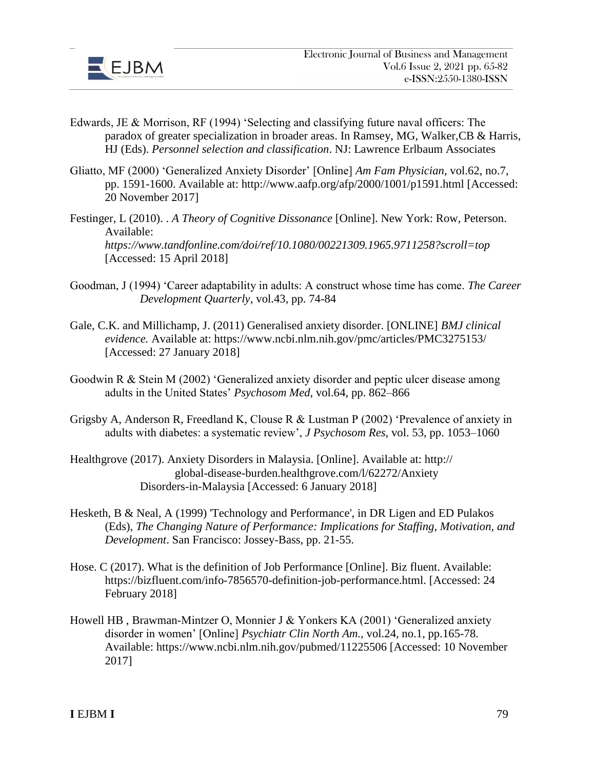

- Edwards, JE & Morrison, RF (1994) 'Selecting and classifying future naval officers: The paradox of greater specialization in broader areas. In Ramsey, MG, Walker,CB & Harris, HJ (Eds). *Personnel selection and classification*. NJ: Lawrence Erlbaum Associates
- Gliatto, MF (2000) 'Generalized Anxiety Disorder' [Online] *Am Fam Physician,* vol.62, no.7, pp. 1591-1600. Available at: http://www.aafp.org/afp/2000/1001/p1591.html [Accessed: 20 November 2017]
- Festinger, L (2010). . *A Theory of Cognitive Dissonance* [Online]. New York: Row, Peterson. Available: *https://www.tandfonline.com/doi/ref/10.1080/00221309.1965.9711258?scroll=top* [Accessed: 15 April 2018]
- Goodman, J (1994) 'Career adaptability in adults: A construct whose time has come. *The Career Development Quarterly*, vol.43, pp. 74-84
- Gale, C.K. and Millichamp, J. (2011) Generalised anxiety disorder. [ONLINE] *BMJ clinical evidence.* Available at: https://www.ncbi.nlm.nih.gov/pmc/articles/PMC3275153/ [Accessed: 27 January 2018]
- Goodwin R & Stein M (2002) 'Generalized anxiety disorder and peptic ulcer disease among adults in the United States' *Psychosom Med*, vol.64, pp. 862–866
- Grigsby A, Anderson R, Freedland K, Clouse R & Lustman P (2002) 'Prevalence of anxiety in adults with diabetes: a systematic review', *J Psychosom Res*, vol. 53, pp. 1053–1060
- Healthgrove (2017). Anxiety Disorders in Malaysia. [Online]. Available at: http:// global-disease-burden.healthgrove.com/l/62272/Anxiety Disorders-in-Malaysia [Accessed: 6 January 2018]
- Hesketh, B & Neal, A (1999) 'Technology and Performance', in DR Ligen and ED Pulakos (Eds), *The Changing Nature of Performance: Implications for Staffing, Motivation, and Development*. San Francisco: Jossey-Bass, pp. 21-55.
- Hose. C (2017). What is the definition of Job Performance [Online]. Biz fluent. Available: https://bizfluent.com/info-7856570-definition-job-performance.html. [Accessed: 24 February 2018]
- Howell HB , Brawman-Mintzer O, Monnier J & Yonkers KA (2001) 'Generalized anxiety disorder in women' [Online] *Psychiatr Clin North Am.,* vol.24, no.1, pp.165-78. Available: https://www.ncbi.nlm.nih.gov/pubmed/11225506 [Accessed: 10 November 2017]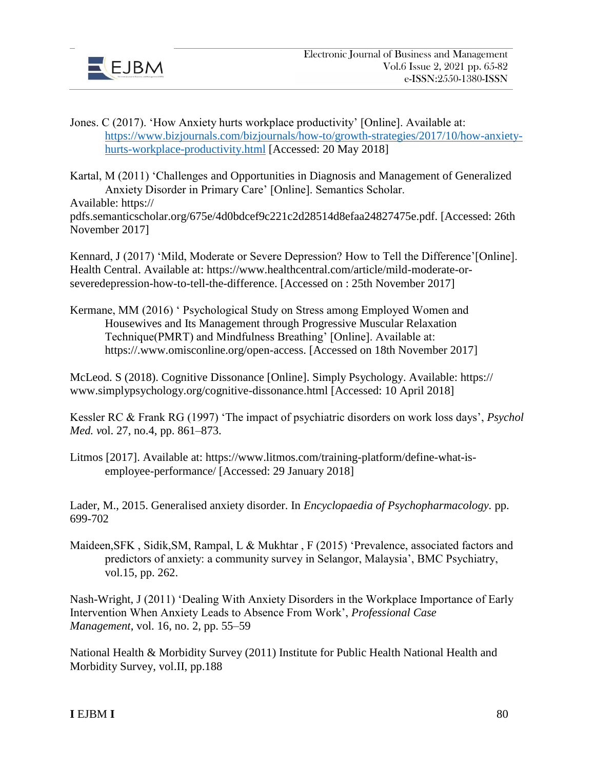

- Jones. C (2017). 'How Anxiety hurts workplace productivity' [Online]. Available at: https://www.bizjournals.com/bizjournals/how-to/growth-strategies/2017/10/how-anxietyhurts-workplace-productivity.html [Accessed: 20 May 2018]
- Kartal, M (2011) 'Challenges and Opportunities in Diagnosis and Management of Generalized Anxiety Disorder in Primary Care' [Online]. Semantics Scholar. Available: https://

pdfs.semanticscholar.org/675e/4d0bdcef9c221c2d28514d8efaa24827475e.pdf. [Accessed: 26th November 2017]

Kennard, J (2017) 'Mild, Moderate or Severe Depression? How to Tell the Difference'[Online]. Health Central. Available at: https://www.healthcentral.com/article/mild-moderate-orseveredepression-how-to-tell-the-difference. [Accessed on : 25th November 2017]

Kermane, MM (2016) ' Psychological Study on Stress among Employed Women and Housewives and Its Management through Progressive Muscular Relaxation Technique(PMRT) and Mindfulness Breathing' [Online]. Available at: https://.www.omisconline.org/open-access. [Accessed on 18th November 2017]

McLeod. S (2018). Cognitive Dissonance [Online]. Simply Psychology. Available: https:// www.simplypsychology.org/cognitive-dissonance.html [Accessed: 10 April 2018]

Kessler RC & Frank RG (1997) 'The impact of psychiatric disorders on work loss days', *Psychol Med. v*ol. 27, no.4, pp. 861–873.

Litmos [2017]. Available at: https://www.litmos.com/training-platform/define-what-isemployee-performance/ [Accessed: 29 January 2018]

Lader, M., 2015. Generalised anxiety disorder. In *Encyclopaedia of Psychopharmacology.* pp. 699-702

Maideen,SFK , Sidik,SM, Rampal, L & Mukhtar , F (2015) 'Prevalence, associated factors and predictors of anxiety: a community survey in Selangor, Malaysia', BMC Psychiatry, vol.15, pp. 262.

Nash-Wright, J (2011) 'Dealing With Anxiety Disorders in the Workplace Importance of Early Intervention When Anxiety Leads to Absence From Work', *Professional Case Management*, vol. 16, no. 2, pp. 55–59

National Health & Morbidity Survey (2011) Institute for Public Health National Health and Morbidity Survey, vol.II, pp.188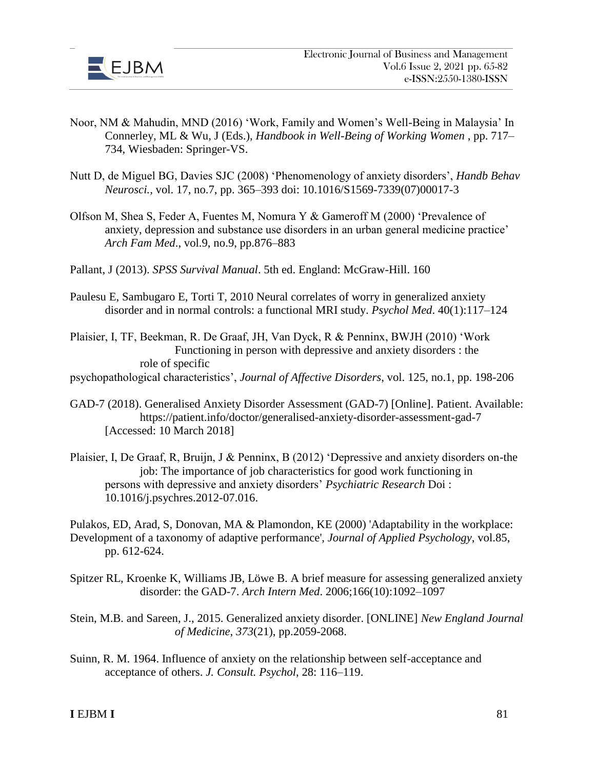

- Noor, NM & Mahudin, MND (2016) 'Work, Family and Women's Well-Being in Malaysia' In Connerley, ML & Wu, J (Eds.), *Handbook in Well-Being of Working Women* , pp. 717– 734, Wiesbaden: Springer-VS.
- Nutt D, de Miguel BG, Davies SJC (2008) 'Phenomenology of anxiety disorders', *Handb Behav Neurosci.,* vol. 17, no.7, pp. 365–393 doi: 10.1016/S1569-7339(07)00017-3
- Olfson M, Shea S, Feder A, Fuentes M, Nomura Y & Gameroff M (2000) 'Prevalence of anxiety, depression and substance use disorders in an urban general medicine practice' *Arch Fam Med*., vol.9, no.9, pp.876–883
- Pallant, J (2013). *SPSS Survival Manual*. 5th ed. England: McGraw-Hill. 160
- Paulesu E, Sambugaro E, Torti T, 2010 Neural correlates of worry in generalized anxiety disorder and in normal controls: a functional MRI study. *Psychol Med*. 40(1):117–124
- Plaisier, I, TF, Beekman, R. De Graaf, JH, Van Dyck, R & Penninx, BWJH (2010) 'Work Functioning in person with depressive and anxiety disorders : the role of specific
- psychopathological characteristics', *Journal of Affective Disorders*, vol. 125, no.1, pp. 198-206
- GAD-7 (2018). Generalised Anxiety Disorder Assessment (GAD-7) [Online]. Patient. Available: https://patient.info/doctor/generalised-anxiety-disorder-assessment-gad-7 [Accessed: 10 March 2018]
- Plaisier, I, De Graaf, R, Bruijn, J & Penninx, B (2012) 'Depressive and anxiety disorders on-the job: The importance of job characteristics for good work functioning in persons with depressive and anxiety disorders' *Psychiatric Research* Doi : 10.1016/j.psychres.2012-07.016.
- Pulakos, ED, Arad, S, Donovan, MA & Plamondon, KE (2000) 'Adaptability in the workplace: Development of a taxonomy of adaptive performance', *Journal of Applied Psychology*, vol.85, pp. 612-624.
- Spitzer RL, Kroenke K, Williams JB, Löwe B. A brief measure for assessing generalized anxiety disorder: the GAD-7. *Arch Intern Med*. 2006;166(10):1092–1097
- Stein, M.B. and Sareen, J., 2015. Generalized anxiety disorder. [ONLINE] *New England Journal of Medicine*, *373*(21), pp.2059-2068.
- Suinn, R. M. 1964. Influence of anxiety on the relationship between self-acceptance and acceptance of others. *J. Consult. Psychol*, 28: 116–119.